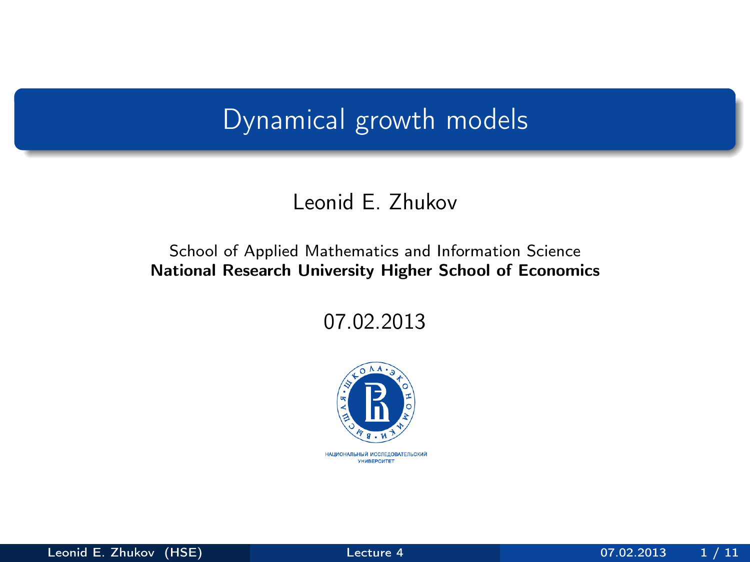# Dynamical growth models

### Leonid E. Zhukov

#### School of Applied Mathematics and Information Science National Research University Higher School of Economics

07.02.2013

<span id="page-0-0"></span>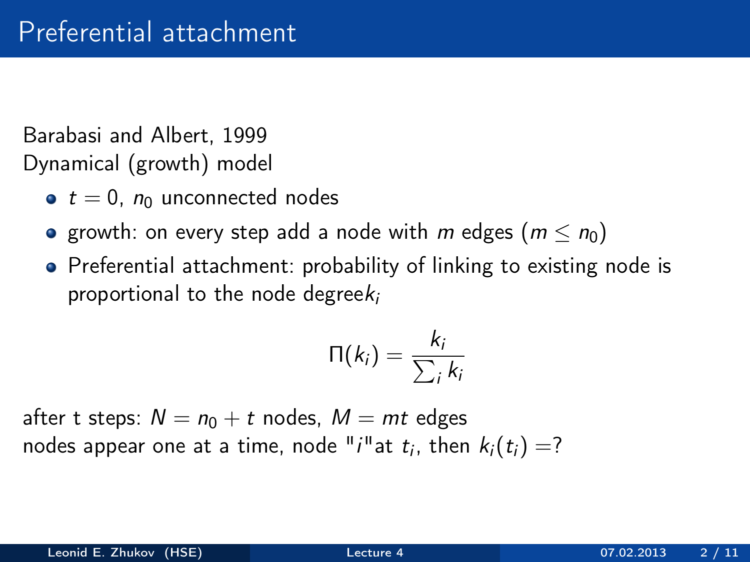Barabasi and Albert, 1999 Dynamical (growth) model

- $\bullet$  t = 0,  $n_0$  unconnected nodes
- **•** growth: on every step add a node with m edges  $(m \le n_0)$
- Preferential attachment: probability of linking to existing node is proportional to the node degree $k_i$

$$
\Pi(k_i) = \frac{k_i}{\sum_i k_i}
$$

after t steps:  $N = n_0 + t$  nodes,  $M = mt$  edges nodes appear one at a time, node " $i$ "at  $t_i$ , then  $k_i(t_i)=?$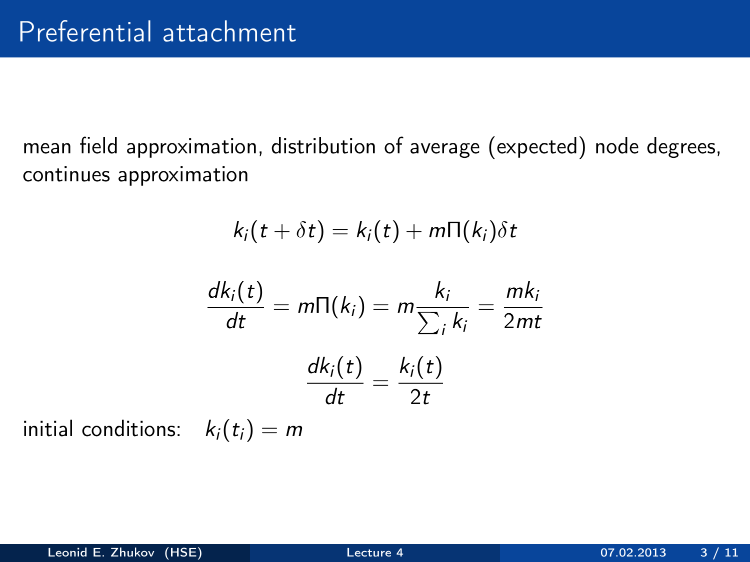mean field approximation, distribution of average (expected) node degrees, continues approximation

$$
k_i(t + \delta t) = k_i(t) + m\Pi(k_i)\delta t
$$

$$
\frac{dk_i(t)}{dt} = m\Pi(k_i) = m\frac{k_i}{\sum_i k_i} = \frac{mk_i}{2mt}
$$

$$
\frac{dk_i(t)}{dt} = \frac{k_i(t)}{2t}
$$

initial conditions:  $k_i(t_i) = m$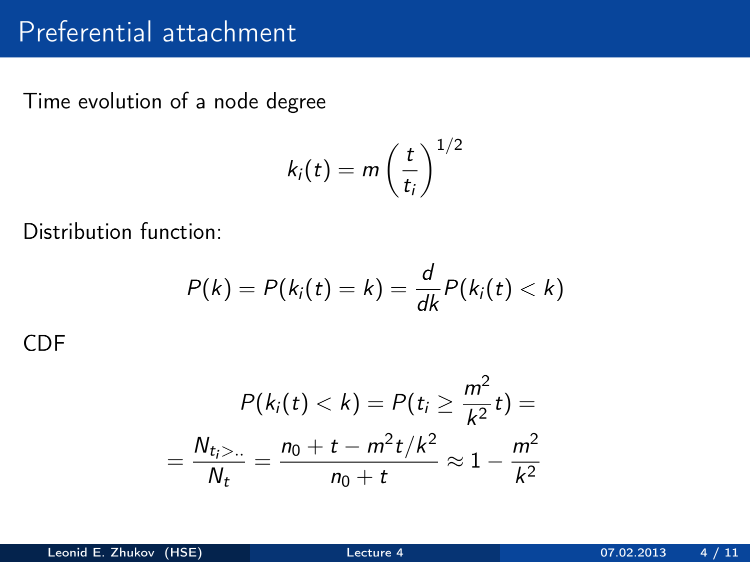# Preferential attachment

Time evolution of a node degree

$$
k_i(t) = m\left(\frac{t}{t_i}\right)^{1/2}
$$

Distribution function:

$$
P(k) = P(ki(t) = k) = \frac{d}{dk}P(ki(t) < k)
$$

CDF

$$
P(k_i(t) < k) = P(t_i \ge \frac{m^2}{k^2}t) =
$$
\n
$$
= \frac{N_{t_i > \dots}}{N_t} = \frac{n_0 + t - m^2t/k^2}{n_0 + t} \approx 1 - \frac{m^2}{k^2}
$$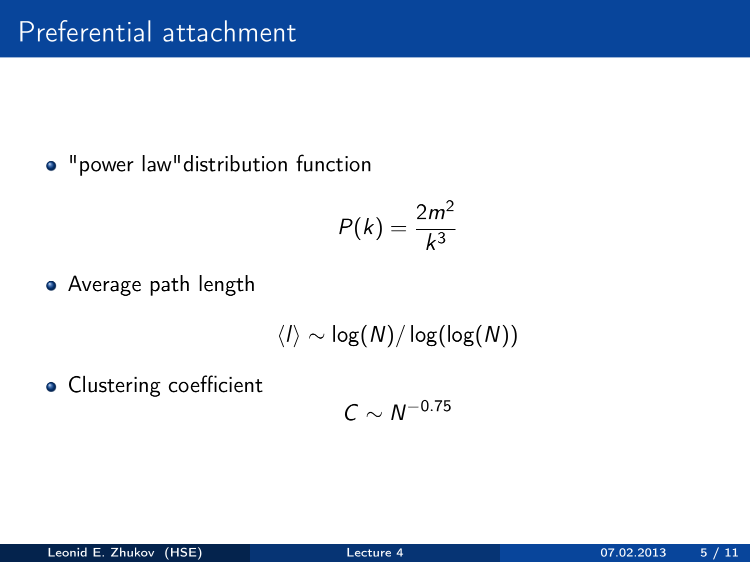"power law"distribution function

$$
P(k) = \frac{2m^2}{k^3}
$$

Average path length

$$
\langle I\rangle\sim\log(N)/\log(\log(N))
$$

**·** Clustering coefficient

$$
C\sim N^{-0.75}
$$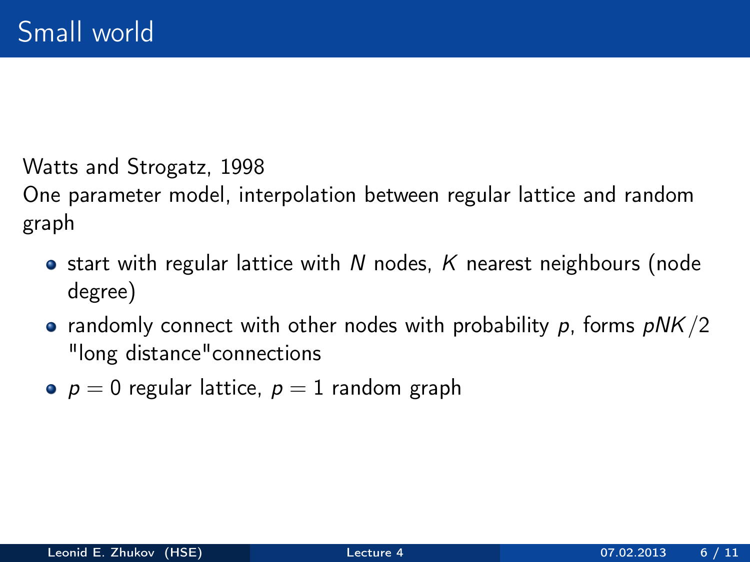Watts and Strogatz, 1998

One parameter model, interpolation between regular lattice and random graph

- $\bullet$  start with regular lattice with N nodes, K nearest neighbours (node degree)
- randomly connect with other nodes with probability  $p$ , forms  $pNK/2$ "long distance"connections
- $p = 0$  regular lattice,  $p = 1$  random graph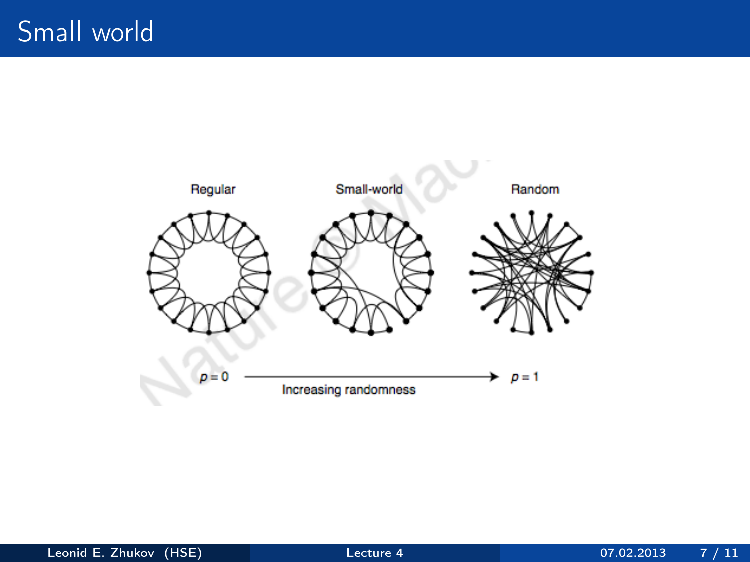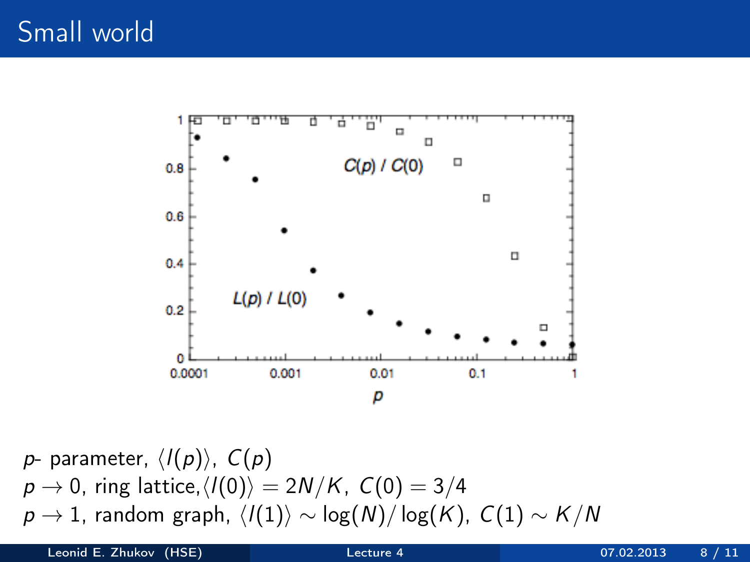

$$
p\text{- parameter, }\langle I(p)\rangle,\ C(p)\\p\to 0,\ \text{ring lattice,}\langle I(0)\rangle=2N/K,\ C(0)=3/4\\p\to 1,\ \text{random graph, }\langle I(1)\rangle\sim\log(N)/\log(K),\ C(1)\sim K/N
$$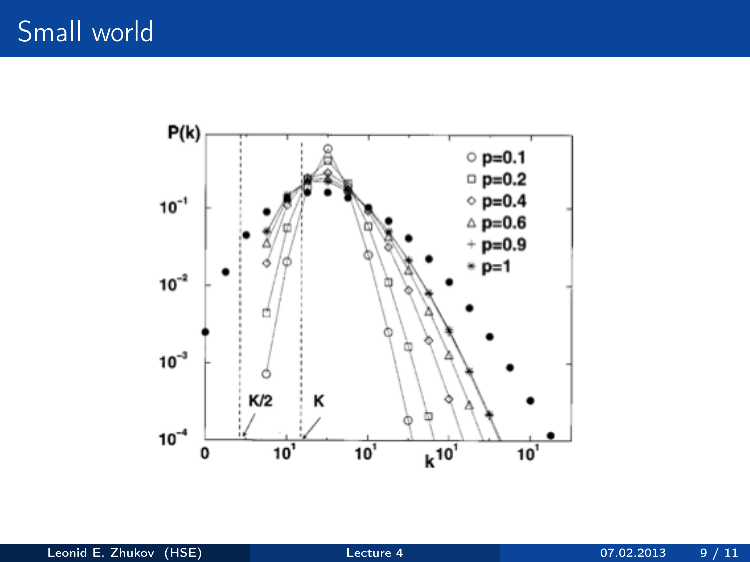# Small world

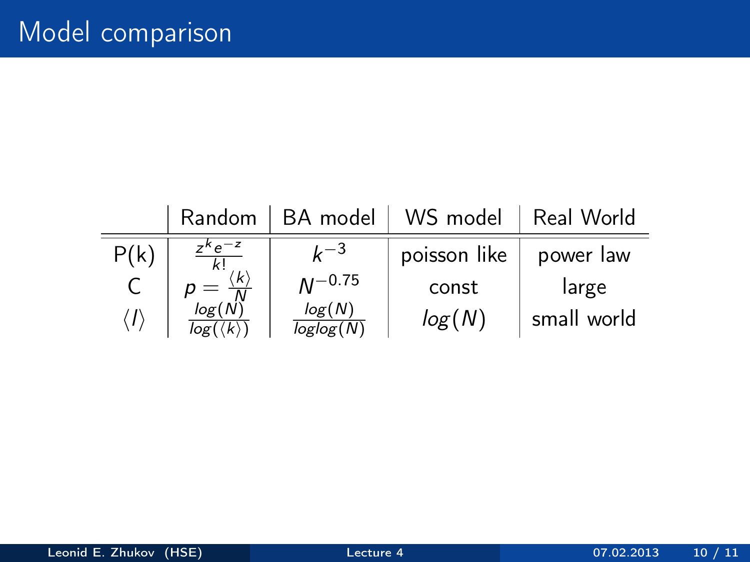|                    | Random                                                      | BA model            | WS model     | Real World  |
|--------------------|-------------------------------------------------------------|---------------------|--------------|-------------|
| P(k)               | $7^{\kappa}e^{-z}$                                          | $L-3$               | poisson like | power law   |
|                    | $\langle k \rangle$                                         | $M^{-0.75}$         | const        | large       |
| $\langle I\rangle$ | $=\overline{\frac{N}{\log(N)}}$<br>$log(\langle k \rangle)$ | log(N)<br>loglog(N) | log(N)       | small world |